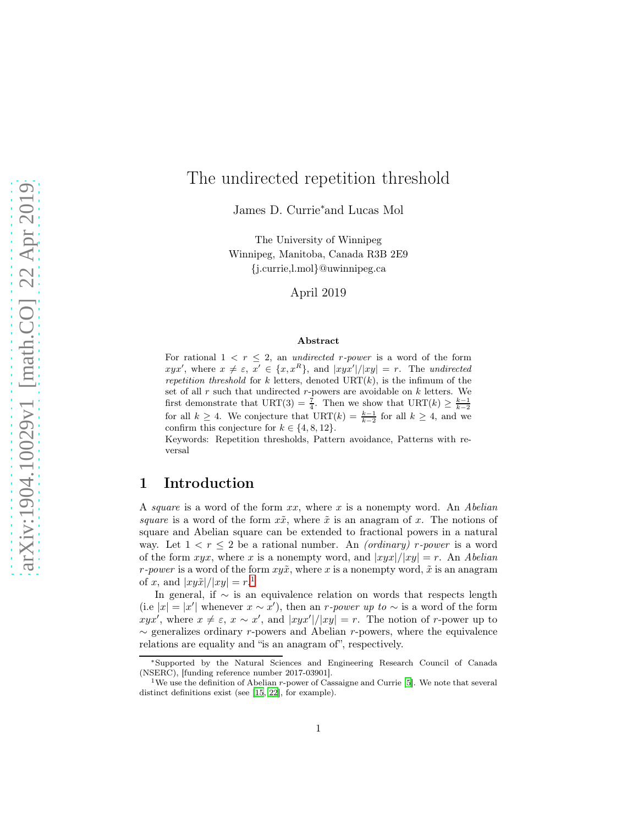## The undirected repetition threshold

James D. Currie<sup>∗</sup>and Lucas Mol

The University of Winnipeg Winnipeg, Manitoba, Canada R3B 2E9 {j.currie,l.mol}@uwinnipeg.ca

April 2019

#### Abstract

For rational  $1 \leq r \leq 2$ , an undirected r-power is a word of the form  $xyx'$ , where  $x \neq \varepsilon$ ,  $x' \in \{x, x^R\}$ , and  $|xyx'|/|xy| = r$ . The undirected repetition threshold for k letters, denoted  $\text{URT}(k)$ , is the infimum of the set of all  $r$  such that undirected  $r$ -powers are avoidable on  $k$  letters. We first demonstrate that URT(3) =  $\frac{7}{4}$ . Then we show that URT(k)  $\geq \frac{k-1}{k-2}$ for all  $k \geq 4$ . We conjecture that  $\text{URT}(k) = \frac{k-1}{k-2}$  for all  $k \geq 4$ , and we confirm this conjecture for  $k \in \{4, 8, 12\}.$ 

Keywords: Repetition thresholds, Pattern avoidance, Patterns with reversal

### <span id="page-0-1"></span>1 Introduction

A square is a word of the form  $xx$ , where x is a nonempty word. An Abelian square is a word of the form  $x\tilde{x}$ , where  $\tilde{x}$  is an anagram of x. The notions of square and Abelian square can be extended to fractional powers in a natural way. Let  $1 < r \leq 2$  be a rational number. An *(ordinary) r*-power is a word of the form  $xyx$ , where x is a nonempty word, and  $|xyx|/|xy| = r$ . An Abelian r-power is a word of the form  $xy\tilde{x}$ , where x is a nonempty word,  $\tilde{x}$  is an anagram of x, and  $|xy\tilde{x}|/|xy| = r^{1}$  $|xy\tilde{x}|/|xy| = r^{1}$  $|xy\tilde{x}|/|xy| = r^{1}$ .

In general, if  $\sim$  is an equivalence relation on words that respects length (i.e |x| = |x'| whenever  $x \sim x'$ ), then an r-power up to  $\sim$  is a word of the form  $\hat{x}yx'$ , where  $x \neq \varepsilon$ ,  $x \sim x'$ , and  $|xyx'|/|xy| = r$ . The notion of r-power up to  $\sim$  generalizes ordinary r-powers and Abelian r-powers, where the equivalence relations are equality and "is an anagram of", respectively.

<sup>∗</sup>Supported by the Natural Sciences and Engineering Research Council of Canada (NSERC), [funding reference number 2017-03901].

<span id="page-0-0"></span><sup>&</sup>lt;sup>1</sup>We use the definition of Abelian  $r$ -power of Cassaigne and Currie [\[5](#page-12-0)]. We note that several distinct definitions exist (see [\[15](#page-12-1), [22\]](#page-13-0), for example).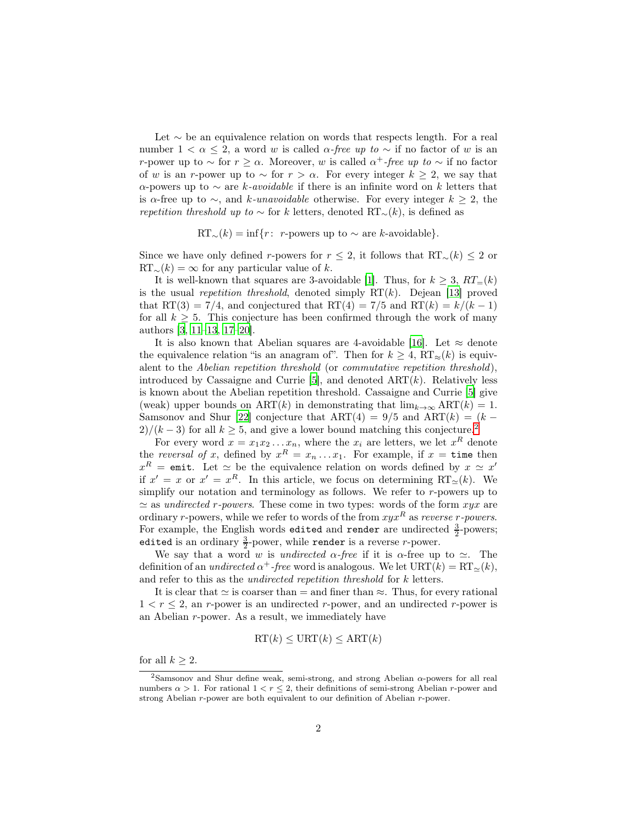Let ∼ be an equivalence relation on words that respects length. For a real number  $1 < \alpha \leq 2$ , a word w is called  $\alpha$ -free up to  $\sim$  if no factor of w is an r-power up to  $\sim$  for  $r \geq \alpha$ . Moreover, w is called  $\alpha^+$ -free up to  $\sim$  if no factor of w is an r-power up to  $\sim$  for  $r > \alpha$ . For every integer  $k \geq 2$ , we say that  $\alpha$ -powers up to  $\sim$  are k-avoidable if there is an infinite word on k letters that is  $\alpha$ -free up to  $\sim$ , and k-unavoidable otherwise. For every integer  $k \geq 2$ , the repetition threshold up to  $\sim$  for k letters, denoted RT<sub>∼</sub>(k), is defined as

$$
RT_{\sim}(k) = \inf\{r: r\text{-powers up to } \sim \text{ are } k\text{-avoidable}\}.
$$

Since we have only defined r-powers for  $r \leq 2$ , it follows that RT<sub>∼</sub>(k)  $\leq 2$  or  $RT_\sim(k) = \infty$  for any particular value of k.

It is well-known that squares are 3-avoidable [\[1](#page-12-2)]. Thus, for  $k \geq 3$ ,  $RT_{=}(k)$ is the usual *repetition threshold*, denoted simply  $RT(k)$ . Dejean [\[13\]](#page-12-3) proved that RT(3) = 7/4, and conjectured that RT(4) = 7/5 and RT(k) =  $k/(k-1)$ for all  $k > 5$ . This conjecture has been confirmed through the work of many authors [\[3,](#page-12-4) [11](#page-12-5)[–13,](#page-12-3) [17](#page-13-1)[–20\]](#page-13-2).

It is also known that Abelian squares are 4-avoidable [\[16](#page-12-6)]. Let  $\approx$  denote the equivalence relation "is an anagram of". Then for  $k \geq 4$ ,  $RT_{\approx}(k)$  is equivalent to the Abelian repetition threshold (or commutative repetition threshold), introduced by Cassaigne and Currie [\[5](#page-12-0)], and denoted  $ART(k)$ . Relatively less is known about the Abelian repetition threshold. Cassaigne and Currie [\[5](#page-12-0)] give (weak) upper bounds on ART(k) in demonstrating that  $\lim_{k\to\infty} \text{ART}(k) = 1$ . Samsonov and Shur [\[22\]](#page-13-0) conjecture that  $ART(4) = 9/5$  and  $ART(k) = (k 2)/(k-3)$  $2)/(k-3)$  for all  $k \geq 5$ , and give a lower bound matching this conjecture.<sup>2</sup>

For every word  $x = x_1 x_2 ... x_n$ , where the  $x_i$  are letters, we let  $x^R$  denote the reversal of x, defined by  $x^R = x_n \dots x_1$ . For example, if  $x = \text{time}$  then  $x^R = \text{emit.}$  Let  $\simeq$  be the equivalence relation on words defined by  $x \simeq x'$ if  $x' = x$  or  $x' = x^R$ . In this article, we focus on determining  $RT_{\simeq}(k)$ . We simplify our notation and terminology as follows. We refer to r-powers up to  $\simeq$  as *undirected r-powers*. These come in two types: words of the form  $xyx$  are ordinary r-powers, while we refer to words of the from  $xyx^R$  as reverse r-powers. For example, the English words edited and render are undirected  $\frac{3}{2}$ -powers; edited is an ordinary  $\frac{3}{2}$ -power, while render is a reverse *r*-power.

We say that a word w is undirected  $\alpha$ -free if it is  $\alpha$ -free up to  $\simeq$ . The definition of an *undirected*  $\alpha^+$ -free word is analogous. We let  $\text{URT}(k) = \text{RT}_{\simeq}(k)$ , and refer to this as the *undirected repetition threshold* for k letters.

It is clear that  $\simeq$  is coarser than  $=$  and finer than  $\approx$ . Thus, for every rational  $1 < r \leq 2$ , an r-power is an undirected r-power, and an undirected r-power is an Abelian r-power. As a result, we immediately have

$$
\operatorname{RT}(k) \leq \operatorname{URT}(k) \leq \operatorname{ART}(k)
$$

for all  $k \geq 2$ .

<span id="page-1-0"></span><sup>&</sup>lt;sup>2</sup>Samsonov and Shur define weak, semi-strong, and strong Abelian  $\alpha$ -powers for all real numbers  $\alpha > 1$ . For rational  $1 < r \leq 2$ , their definitions of semi-strong Abelian r-power and strong Abelian r-power are both equivalent to our definition of Abelian r-power.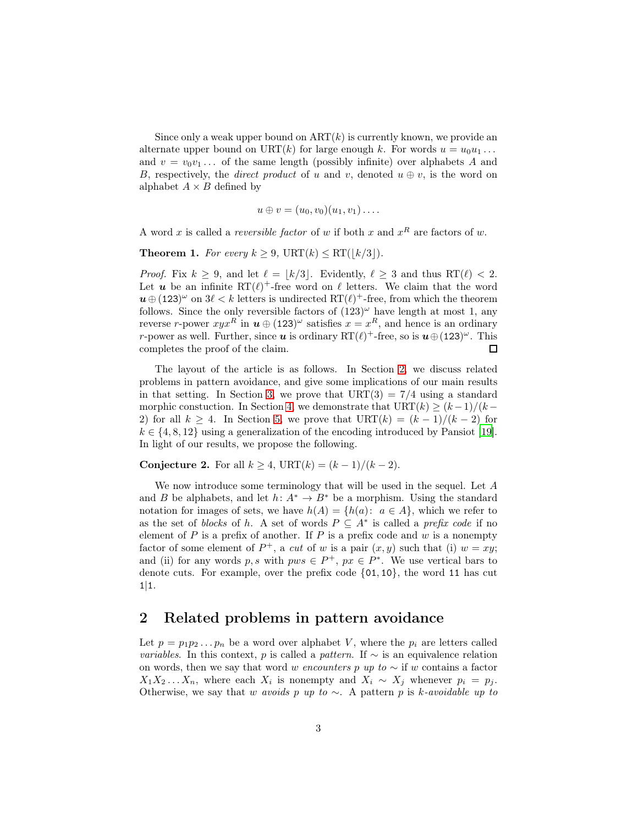Since only a weak upper bound on  $ART(k)$  is currently known, we provide an alternate upper bound on URT(k) for large enough k. For words  $u = u_0u_1 \ldots$ and  $v = v_0v_1...$  of the same length (possibly infinite) over alphabets A and B, respectively, the *direct product* of u and v, denoted  $u \oplus v$ , is the word on alphabet  $A \times B$  defined by

$$
u\oplus v=(u_0,v_0)(u_1,v_1)\ldots
$$

A word x is called a *reversible factor* of w if both x and  $x^R$  are factors of w.

<span id="page-2-1"></span>**Theorem 1.** For every  $k \geq 9$ , URT $(k) \leq RT(|k/3|)$ .

*Proof.* Fix  $k \geq 9$ , and let  $\ell = |k/3|$ . Evidently,  $\ell \geq 3$  and thus RT( $\ell$ ) < 2. Let **u** be an infinite  $RT(\ell)^+$ -free word on  $\ell$  letters. We claim that the word  $u \oplus (123)^\omega$  on  $3\ell < k$  letters is undirected  $RT(\ell)^+$ -free, from which the theorem follows. Since the only reversible factors of  $(123)^\omega$  have length at most 1, any reverse r-power  $xyx^R$  in  $u \oplus (123)^\omega$  satisfies  $x = x^R$ , and hence is an ordinary *r*-power as well. Further, since **u** is ordinary  $RT(\ell)$ <sup>+</sup>-free, so is  $u \oplus (123)^\omega$ . This completes the proof of the claim.  $\Box$ 

The layout of the article is as follows. In Section [2,](#page-2-0) we discuss related problems in pattern avoidance, and give some implications of our main results in that setting. In Section [3,](#page-4-0) we prove that  $\text{URT}(3) = 7/4$  using a standard morphic constuction. In Section [4,](#page-5-0) we demonstrate that  $\text{URT}(k) \geq (k-1)/(k-1)$ 2) for all  $k \geq 4$ . In Section [5,](#page-6-0) we prove that  $\text{URT}(k) = (k-1)/(k-2)$  for  $k \in \{4, 8, 12\}$  using a generalization of the encoding introduced by Pansiot [\[19\]](#page-13-3). In light of our results, we propose the following.

<span id="page-2-2"></span>Conjecture 2. For all  $k \geq 4$ , URT $(k) = (k-1)/(k-2)$ .

We now introduce some terminology that will be used in the sequel. Let A and B be alphabets, and let  $h: A^* \to B^*$  be a morphism. Using the standard notation for images of sets, we have  $h(A) = \{h(a): a \in A\}$ , which we refer to as the set of blocks of h. A set of words  $P \subseteq A^*$  is called a prefix code if no element of P is a prefix of another. If P is a prefix code and  $w$  is a nonempty factor of some element of  $P^+$ , a cut of w is a pair  $(x, y)$  such that (i)  $w = xy$ ; and (ii) for any words p, s with  $pws \in P^+$ ,  $px \in P^*$ . We use vertical bars to denote cuts. For example, over the prefix code {01, 10}, the word 11 has cut  $1|1.$ 

### <span id="page-2-0"></span>2 Related problems in pattern avoidance

Let  $p = p_1p_2...p_n$  be a word over alphabet V, where the  $p_i$  are letters called *variables.* In this context, p is called a pattern. If  $\sim$  is an equivalence relation on words, then we say that word w encounters p up to  $\sim$  if w contains a factor  $X_1X_2...X_n$ , where each  $X_i$  is nonempty and  $X_i \sim X_j$  whenever  $p_i = p_j$ . Otherwise, we say that w avoids p up to  $\sim$ . A pattern p is k-avoidable up to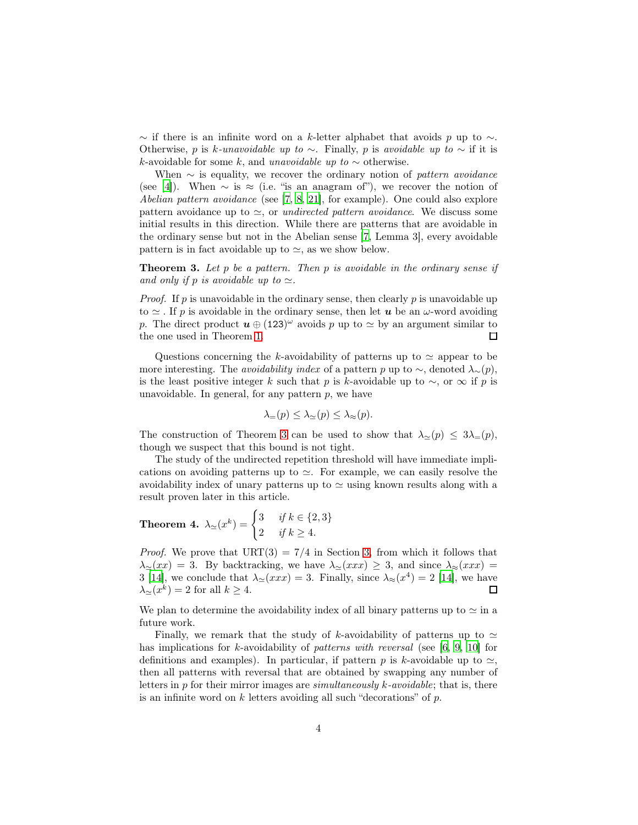$\sim$  if there is an infinite word on a k-letter alphabet that avoids p up to  $\sim$ . Otherwise, p is k-unavoidable up to ∼. Finally, p is avoidable up to ∼ if it is k-avoidable for some k, and unavoidable up to  $\sim$  otherwise.

When  $\sim$  is equality, we recover the ordinary notion of pattern avoidance (see [\[4\]](#page-12-7)). When  $\sim$  is  $\approx$  (i.e. "is an anagram of"), we recover the notion of Abelian pattern avoidance (see [\[7,](#page-12-8) [8,](#page-12-9) [21](#page-13-4)], for example). One could also explore pattern avoidance up to  $\simeq$ , or *undirected pattern avoidance*. We discuss some initial results in this direction. While there are patterns that are avoidable in the ordinary sense but not in the Abelian sense [\[7,](#page-12-8) Lemma 3], every avoidable pattern is in fact avoidable up to  $\simeq$ , as we show below.

<span id="page-3-0"></span>**Theorem 3.** Let  $p$  be a pattern. Then  $p$  is avoidable in the ordinary sense if and only if p is avoidable up to  $\simeq$ .

*Proof.* If p is unavoidable in the ordinary sense, then clearly p is unavoidable up to  $\simeq$ . If p is avoidable in the ordinary sense, then let **u** be an  $\omega$ -word avoiding p. The direct product  $u \oplus (123)^\omega$  avoids p up to  $\simeq$  by an argument similar to the one used in Theorem [1.](#page-2-1)  $\Box$ 

Questions concerning the k-avoidability of patterns up to  $\simeq$  appear to be more interesting. The *avoidability index* of a pattern p up to  $\sim$ , denoted  $\lambda_{\sim}(p)$ , is the least positive integer k such that p is k-avoidable up to  $\sim$ , or  $\infty$  if p is unavoidable. In general, for any pattern  $p$ , we have

$$
\lambda_{=}(p) \leq \lambda_{\simeq}(p) \leq \lambda_{\approx}(p).
$$

The construction of Theorem [3](#page-3-0) can be used to show that  $\lambda_{\simeq}(p) \leq 3\lambda_{=}(p)$ , though we suspect that this bound is not tight.

The study of the undirected repetition threshold will have immediate implications on avoiding patterns up to  $\approx$ . For example, we can easily resolve the avoidability index of unary patterns up to  $\simeq$  using known results along with a result proven later in this article.

**Theorem 4.** 
$$
\lambda_{\simeq}(x^k) = \begin{cases} 3 & \text{if } k \in \{2, 3\} \\ 2 & \text{if } k \ge 4. \end{cases}
$$

*Proof.* We prove that  $\text{URT}(3) = 7/4$  in Section [3,](#page-4-0) from which it follows that  $\lambda_{\simeq}(xx) = 3$ . By backtracking, we have  $\lambda_{\simeq}(xxx) \geq 3$ , and since  $\lambda_{\simeq}(xxx) =$ 3 [\[14](#page-12-10)], we conclude that  $\lambda_{\simeq}(xxx) = 3$ . Finally, since  $\lambda_{\simeq}(x^4) = 2$  [\[14\]](#page-12-10), we have  $\lambda_{\simeq}(x^k) = 2$  for all  $k \geq 4$ . □

We plan to determine the avoidability index of all binary patterns up to  $\simeq$  in a future work.

Finally, we remark that the study of k-avoidability of patterns up to  $\simeq$ has implications for k-avoidability of patterns with reversal (see [\[6,](#page-12-11) [9,](#page-12-12) [10\]](#page-12-13) for definitions and examples). In particular, if pattern p is k-avoidable up to  $\approx$ , then all patterns with reversal that are obtained by swapping any number of letters in p for their mirror images are *simultaneously k-avoidable*; that is, there is an infinite word on  $k$  letters avoiding all such "decorations" of  $p$ .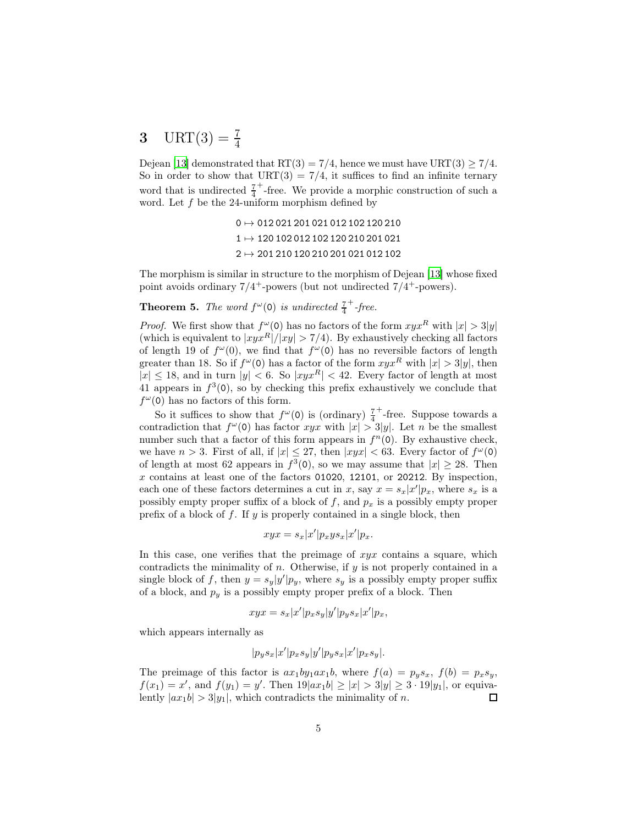## <span id="page-4-0"></span>3 URT $(3) = \frac{7}{4}$

Dejean [\[13\]](#page-12-3) demonstrated that  $RT(3) = 7/4$ , hence we must have  $URT(3) \ge 7/4$ . So in order to show that  $\text{URT}(3) = 7/4$ , it suffices to find an infinite ternary word that is undirected  $\frac{7}{4}$ + -free. We provide a morphic construction of such a word. Let  $f$  be the 24-uniform morphism defined by

> $0 \mapsto 012\,021\,201\,021\,012\,102\,120\,210$ 1 7→ 120 102 012 102 120 210 201 021  $2 \mapsto 201\,210\,120\,210\,201\,021\,012\,102$

The morphism is similar in structure to the morphism of Dejean [\[13\]](#page-12-3) whose fixed point avoids ordinary  $7/4^+$ -powers (but not undirected  $7/4^+$ -powers).

**Theorem 5.** The word  $f^{\omega}(0)$  is undirected  $\frac{7}{4}$  $+$ -free.

*Proof.* We first show that  $f^{\omega}(0)$  has no factors of the form  $xyx^R$  with  $|x| > 3|y|$ (which is equivalent to  $|xyx^R|/|xy| > 7/4$ ). By exhaustively checking all factors of length 19 of  $f^{\omega}(0)$ , we find that  $f^{\omega}(0)$  has no reversible factors of length greater than 18. So if  $f^{\omega}(0)$  has a factor of the form  $xyx^R$  with  $|x| > 3|y|$ , then  $|x| \leq 18$ , and in turn  $|y| < 6$ . So  $|xyx^R| < 42$ . Every factor of length at most 41 appears in  $f^3(0)$ , so by checking this prefix exhaustively we conclude that  $f^{\omega}(0)$  has no factors of this form.

So it suffices to show that  $f^{\omega}(0)$  is (ordinary)  $\frac{7}{4}$ + -free. Suppose towards a contradiction that  $f^{\omega}(0)$  has factor xyx with  $|x| > 3|y|$ . Let n be the smallest number such that a factor of this form appears in  $f<sup>n</sup>(0)$ . By exhaustive check, we have  $n > 3$ . First of all, if  $|x| \leq 27$ , then  $|xyx| < 63$ . Every factor of  $f^{\omega}(0)$ of length at most 62 appears in  $f^3(0)$ , so we may assume that  $|x| \ge 28$ . Then  $x$  contains at least one of the factors 01020, 12101, or 20212. By inspection, each one of these factors determines a cut in x, say  $x = s_x|x'|p_x$ , where  $s_x$  is a possibly empty proper suffix of a block of f, and  $p_x$  is a possibly empty proper prefix of a block of  $f$ . If  $y$  is properly contained in a single block, then

$$
xyx = s_x|x'|p_xys_x|x'|p_x.
$$

In this case, one verifies that the preimage of  $xyx$  contains a square, which contradicts the minimality of  $n$ . Otherwise, if  $y$  is not properly contained in a single block of f, then  $y = s_y|y'|p_y$ , where  $s_y$  is a possibly empty proper suffix of a block, and  $p_y$  is a possibly empty proper prefix of a block. Then

$$
xyx = s_x |x'| p_x s_y |y'| p_y s_x |x'| p_x,
$$

which appears internally as

$$
|p_y s_x | x'| p_x s_y | y'| p_y s_x | x' | p_x s_y |.
$$

The preimage of this factor is  $ax_1by_1ax_1b$ , where  $f(a) = p_ys_x$ ,  $f(b) = p_xs_y$ ,  $f(x_1) = x'$ , and  $f(y_1) = y'$ . Then  $19|ax_1b| \ge |x| > 3|y| \ge 3 \cdot 19|y_1|$ , or equivalently  $|ax_1b| > 3|y_1|$ , which contradicts the minimality of n.  $\Box$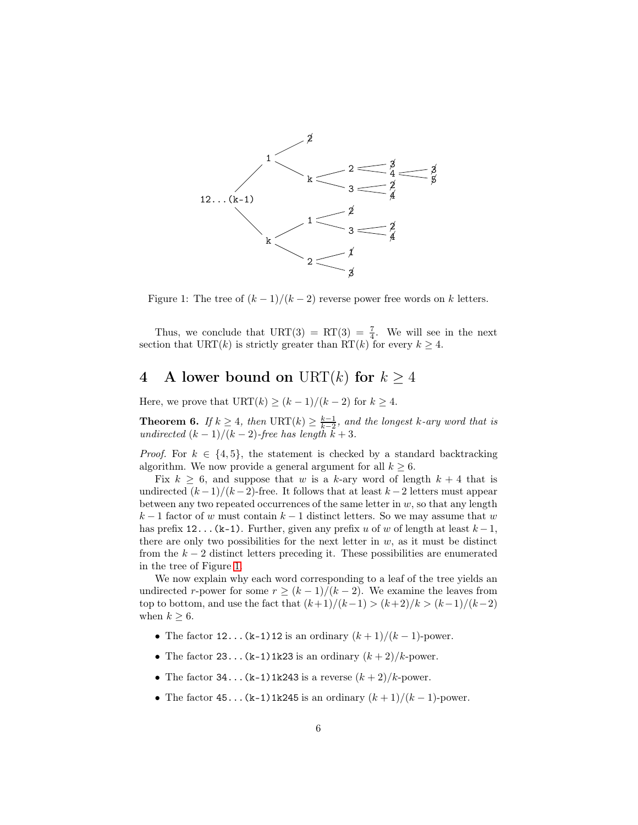

<span id="page-5-1"></span>Figure 1: The tree of  $(k-1)/(k-2)$  reverse power free words on k letters.

Thus, we conclude that  $\text{URT}(3) = \text{RT}(3) = \frac{7}{4}$ . We will see in the next section that URT(k) is strictly greater than RT(k) for every  $k \geq 4$ .

## <span id="page-5-0"></span>4 A lower bound on URT(k) for  $k \geq 4$

Here, we prove that  $\text{URT}(k) \geq (k-1)/(k-2)$  for  $k \geq 4$ .

<span id="page-5-2"></span>**Theorem 6.** If  $k \geq 4$ , then URT(k)  $\geq \frac{k-1}{k-2}$ , and the longest k-ary word that is undirected  $(k-1)/(k-2)$ -free has length  $k+3$ .

*Proof.* For  $k \in \{4, 5\}$ , the statement is checked by a standard backtracking algorithm. We now provide a general argument for all  $k \geq 6$ .

Fix  $k \geq 6$ , and suppose that w is a k-ary word of length  $k + 4$  that is undirected  $(k-1)/(k-2)$ -free. It follows that at least  $k-2$  letters must appear between any two repeated occurrences of the same letter in  $w$ , so that any length  $k-1$  factor of w must contain  $k-1$  distinct letters. So we may assume that w has prefix 12...(k-1). Further, given any prefix u of w of length at least  $k-1$ , there are only two possibilities for the next letter in  $w$ , as it must be distinct from the  $k-2$  distinct letters preceding it. These possibilities are enumerated in the tree of Figure [1.](#page-5-1)

We now explain why each word corresponding to a leaf of the tree yields an undirected r-power for some  $r \ge (k-1)/(k-2)$ . We examine the leaves from top to bottom, and use the fact that  $(k+1)/(k-1) > (k+2)/k > (k-1)/(k-2)$ when  $k \geq 6$ .

- The factor 12...(k-1)12 is an ordinary  $(k+1)/(k-1)$ -power.
- The factor  $23...$  (k-1)1k23 is an ordinary  $(k+2)/k$ -power.
- The factor  $34...$  (k-1)1k243 is a reverse  $(k+2)/k$ -power.
- The factor 45...(k-1)1k245 is an ordinary  $(k+1)/(k-1)$ -power.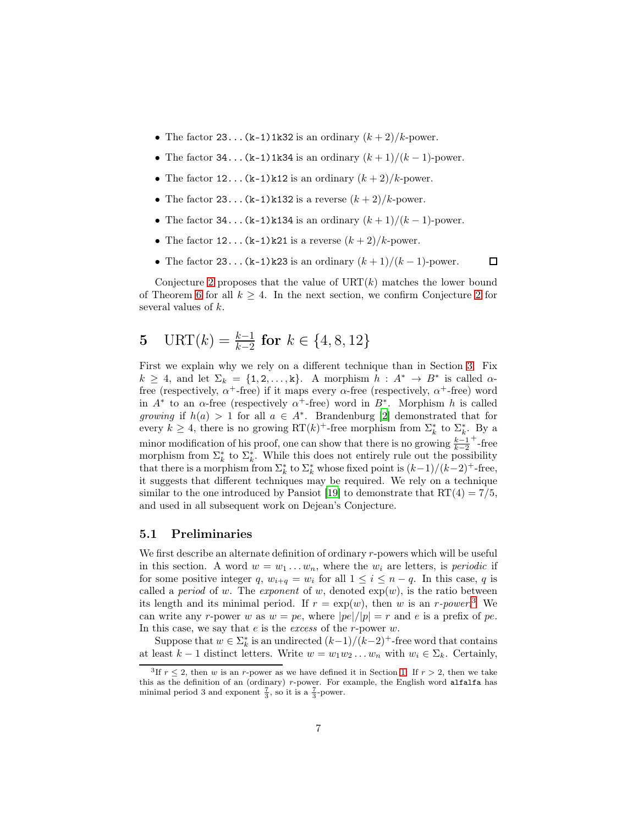- The factor 23...  $(k-1)$  1k32 is an ordinary  $(k+2)/k$ -power.
- The factor 34...(k-1)1k34 is an ordinary  $(k+1)/(k-1)$ -power.
- The factor  $12 \ldots (k-1)k12$  is an ordinary  $(k+2)/k$ -power.
- The factor 23...  $(k-1)k132$  is a reverse  $(k+2)/k$ -power.
- The factor 34... $(k-1)k134$  is an ordinary  $(k+1)/(k-1)$ -power.
- The factor  $12 \ldots (k-1)k21$  is a reverse  $(k+2)/k$ -power.
- The factor 23... $(k-1)k23$  is an ordinary  $(k+1)/(k-1)$ -power.

 $\Box$ 

Conjecture [2](#page-2-2) proposes that the value of  $\text{URT}(k)$  matches the lower bound of Theorem [6](#page-5-2) for all  $k \geq 4$ . In the next section, we confirm Conjecture [2](#page-2-2) for several values of k.

# <span id="page-6-0"></span>5 URT $(k) = \frac{k-1}{k-2}$  for  $k \in \{4, 8, 12\}$

First we explain why we rely on a different technique than in Section [3.](#page-4-0) Fix  $k \geq 4$ , and let  $\Sigma_k = \{1, 2, ..., k\}$ . A morphism  $h : A^* \to B^*$  is called  $\alpha$ free (respectively,  $\alpha^+$ -free) if it maps every  $\alpha$ -free (respectively,  $\alpha^+$ -free) word in  $A^*$  to an  $\alpha$ -free (respectively  $\alpha^+$ -free) word in  $B^*$ . Morphism h is called growing if  $h(a) > 1$  for all  $a \in A^*$ . Brandenburg [\[2\]](#page-12-14) demonstrated that for every  $k \geq 4$ , there is no growing RT(k)<sup>+</sup>-free morphism from  $\Sigma_k^*$  to  $\Sigma_k^*$ . By a minor modification of his proof, one can show that there is no growing  $\frac{k-1}{k-2}$  $+$ -free morphism from  $\Sigma_k^*$  to  $\Sigma_k^*$ . While this does not entirely rule out the possibility that there is a morphism from  $\Sigma_k^*$  to  $\Sigma_k^*$  whose fixed point is  $(k-1)/(k-2)^+$ -free, it suggests that different techniques may be required. We rely on a technique similar to the one introduced by Pansiot [\[19](#page-13-3)] to demonstrate that  $RT(4) = 7/5$ , and used in all subsequent work on Dejean's Conjecture.

### 5.1 Preliminaries

We first describe an alternate definition of ordinary r-powers which will be useful in this section. A word  $w = w_1 \dots w_n$ , where the  $w_i$  are letters, is *periodic* if for some positive integer q,  $w_{i+q} = w_i$  for all  $1 \leq i \leq n-q$ . In this case, q is called a *period* of w. The *exponent* of w, denoted  $exp(w)$ , is the ratio between its length and its minimal period. If  $r = \exp(w)$ , then w is an r-power.<sup>[3](#page-6-1)</sup> We can write any r-power w as  $w = pe$ , where  $|pe|/|p| = r$  and e is a prefix of pe. In this case, we say that  $e$  is the *excess* of the  $r$ -power  $w$ .

Suppose that  $w \in \Sigma_k^*$  is an undirected  $(k-1)/(k-2)^+$ -free word that contains at least  $k-1$  distinct letters. Write  $w = w_1w_2 \ldots w_n$  with  $w_i \in \Sigma_k$ . Certainly,

<span id="page-6-1"></span><sup>&</sup>lt;sup>3</sup>If  $r \leq 2$ , then w is an r-power as we have defined it in Section [1.](#page-0-1) If  $r > 2$ , then we take this as the definition of an (ordinary) r-power. For example, the English word alfalfa has minimal period 3 and exponent  $\frac{7}{3}$ , so it is a  $\frac{7}{3}$ -power.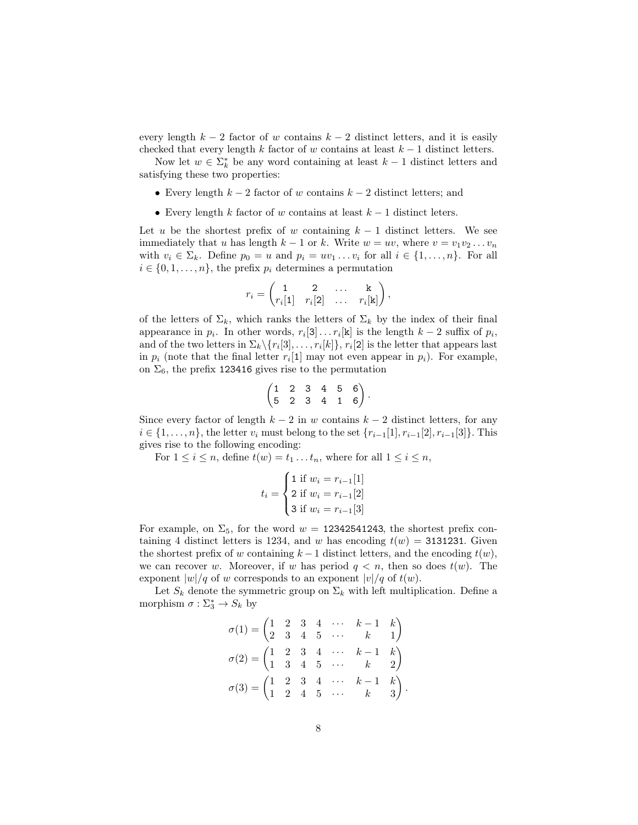every length  $k-2$  factor of w contains  $k-2$  distinct letters, and it is easily checked that every length k factor of w contains at least  $k - 1$  distinct letters.

Now let  $w \in \Sigma_k^*$  be any word containing at least  $k-1$  distinct letters and satisfying these two properties:

- Every length  $k-2$  factor of w contains  $k-2$  distinct letters; and
- Every length k factor of w contains at least  $k-1$  distinct leters.

Let u be the shortest prefix of w containing  $k-1$  distinct letters. We see immediately that u has length  $k - 1$  or k. Write  $w = uv$ , where  $v = v_1v_2...v_n$ with  $v_i \in \Sigma_k$ . Define  $p_0 = u$  and  $p_i = uv_1 \dots v_i$  for all  $i \in \{1, \dots, n\}$ . For all  $i \in \{0, 1, \ldots, n\}$ , the prefix  $p_i$  determines a permutation

$$
r_i = \begin{pmatrix} 1 & 2 & \dots & k \\ r_i[1] & r_i[2] & \dots & r_i[k] \end{pmatrix},
$$

of the letters of  $\Sigma_k$ , which ranks the letters of  $\Sigma_k$  by the index of their final appearance in  $p_i$ . In other words,  $r_i[3] \ldots r_i[k]$  is the length  $k-2$  suffix of  $p_i$ , and of the two letters in  $\Sigma_k \setminus \{r_i[3], \ldots, r_i[k]\}, r_i[2]$  is the letter that appears last in  $p_i$  (note that the final letter  $r_i[1]$  may not even appear in  $p_i$ ). For example, on  $\Sigma_6$ , the prefix 123416 gives rise to the permutation

$$
\begin{pmatrix} 1 & 2 & 3 & 4 & 5 & 6 \ 5 & 2 & 3 & 4 & 1 & 6 \end{pmatrix}.
$$

Since every factor of length  $k-2$  in w contains  $k-2$  distinct letters, for any *i* ∈ {1, ..., *n*}, the letter  $v_i$  must belong to the set { $r_{i-1}[1], r_{i-1}[2], r_{i-1}[3]$ }. This gives rise to the following encoding:

For  $1 \leq i \leq n$ , define  $t(w) = t_1 \dots t_n$ , where for all  $1 \leq i \leq n$ ,

$$
t_i = \begin{cases} 1 \text{ if } w_i = r_{i-1}[1] \\ 2 \text{ if } w_i = r_{i-1}[2] \\ 3 \text{ if } w_i = r_{i-1}[3] \end{cases}
$$

For example, on  $\Sigma_5$ , for the word  $w = 12342541243$ , the shortest prefix containing 4 distinct letters is 1234, and w has encoding  $t(w) = 3131231$ . Given the shortest prefix of w containing  $k-1$  distinct letters, and the encoding  $t(w)$ , we can recover w. Moreover, if w has period  $q < n$ , then so does  $t(w)$ . The exponent  $|w|/q$  of w corresponds to an exponent  $|v|/q$  of  $t(w)$ .

Let  $S_k$  denote the symmetric group on  $\Sigma_k$  with left multiplication. Define a morphism  $\sigma : \Sigma_3^* \to S_k$  by

$$
\sigma(1) = \begin{pmatrix} 1 & 2 & 3 & 4 & \cdots & k-1 & k \\ 2 & 3 & 4 & 5 & \cdots & k & 1 \end{pmatrix}
$$

$$
\sigma(2) = \begin{pmatrix} 1 & 2 & 3 & 4 & \cdots & k-1 & k \\ 1 & 3 & 4 & 5 & \cdots & k & 2 \end{pmatrix}
$$

$$
\sigma(3) = \begin{pmatrix} 1 & 2 & 3 & 4 & \cdots & k-1 & k \\ 1 & 2 & 4 & 5 & \cdots & k & 3 \end{pmatrix}
$$

.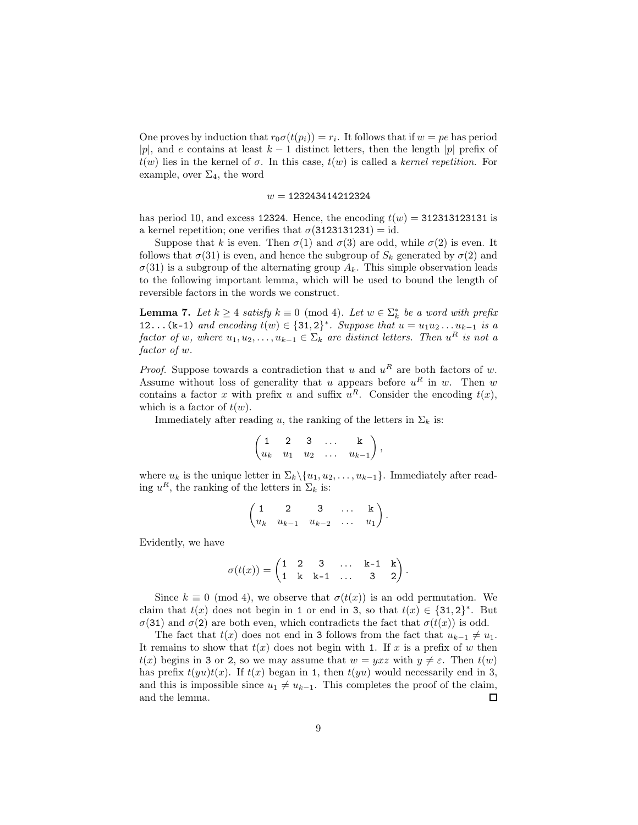One proves by induction that  $r_0\sigma(t(p_i)) = r_i$ . It follows that if  $w = pe$  has period |p|, and e contains at least  $k-1$  distinct letters, then the length |p| prefix of  $t(w)$  lies in the kernel of  $\sigma$ . In this case,  $t(w)$  is called a kernel repetition. For example, over  $\Sigma_4$ , the word

#### $w = 123243414212324$

has period 10, and excess 12324. Hence, the encoding  $t(w) = 312313123131$  is a kernel repetition; one verifies that  $\sigma(3123131231) = id$ .

Suppose that k is even. Then  $\sigma(1)$  and  $\sigma(3)$  are odd, while  $\sigma(2)$  is even. It follows that  $\sigma(31)$  is even, and hence the subgroup of  $S_k$  generated by  $\sigma(2)$  and  $\sigma(31)$  is a subgroup of the alternating group  $A_k$ . This simple observation leads to the following important lemma, which will be used to bound the length of reversible factors in the words we construct.

<span id="page-8-0"></span>**Lemma 7.** Let  $k \geq 4$  satisfy  $k \equiv 0 \pmod{4}$ . Let  $w \in \sum_{k}^{*}$  be a word with prefix 12...(k-1) and encoding  $t(w) \in \{31,2\}^*$ . Suppose that  $u = u_1u_2...u_{k-1}$  is a factor of w, where  $u_1, u_2, \ldots, u_{k-1} \in \Sigma_k$  are distinct letters. Then  $u^R$  is not a factor of w.

*Proof.* Suppose towards a contradiction that u and  $u^R$  are both factors of w. Assume without loss of generality that u appears before  $u^R$  in w. Then w contains a factor x with prefix u and suffix  $u^R$ . Consider the encoding  $t(x)$ , which is a factor of  $t(w)$ .

Immediately after reading u, the ranking of the letters in  $\Sigma_k$  is:

$$
\begin{pmatrix} 1 & 2 & 3 & \dots & k \\ u_k & u_1 & u_2 & \dots & u_{k-1} \end{pmatrix},
$$

where  $u_k$  is the unique letter in  $\Sigma_k \setminus \{u_1, u_2, \ldots, u_{k-1}\}.$  Immediately after reading  $u^R$ , the ranking of the letters in  $\Sigma_k$  is:

$$
\begin{pmatrix}\n1 & 2 & 3 & \dots & k \\
u_k & u_{k-1} & u_{k-2} & \dots & u_1\n\end{pmatrix}.
$$

Evidently, we have

$$
\sigma(t(x))=\begin{pmatrix}1&2&3&\dots&\text{k-1}&\text{k}\\1&\text{k}&\text{k-1}&\dots&3&2\end{pmatrix}.
$$

Since  $k \equiv 0 \pmod{4}$ , we observe that  $\sigma(t(x))$  is an odd permutation. We claim that  $t(x)$  does not begin in 1 or end in 3, so that  $t(x) \in \{31,2\}^*$ . But  $\sigma(31)$  and  $\sigma(2)$  are both even, which contradicts the fact that  $\sigma(t(x))$  is odd.

The fact that  $t(x)$  does not end in 3 follows from the fact that  $u_{k-1} \neq u_1$ . It remains to show that  $t(x)$  does not begin with 1. If x is a prefix of w then  $t(x)$  begins in 3 or 2, so we may assume that  $w = yxz$  with  $y \neq \varepsilon$ . Then  $t(w)$ has prefix  $t(yu)t(x)$ . If  $t(x)$  began in 1, then  $t(yu)$  would necessarily end in 3, and this is impossible since  $u_1 \neq u_{k-1}$ . This completes the proof of the claim, and the lemma.  $\Box$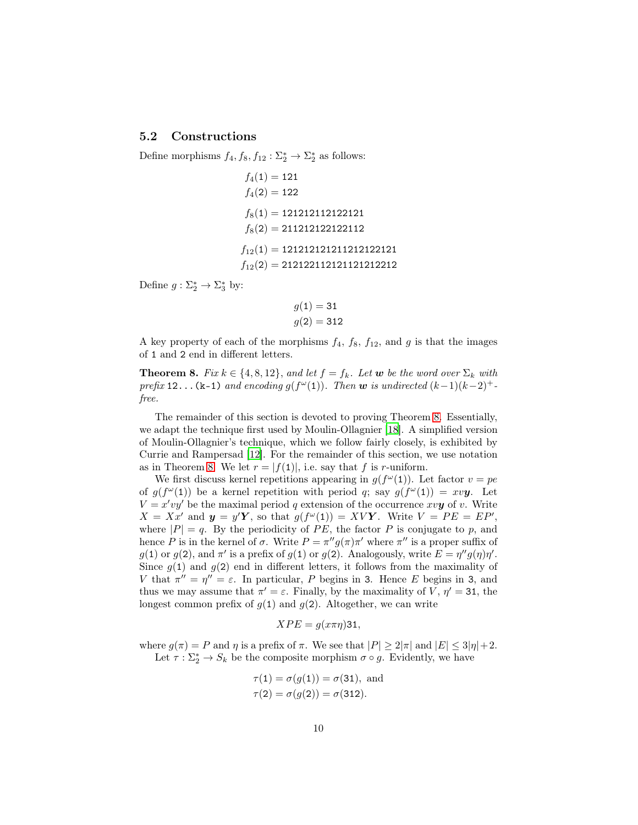### 5.2 Constructions

Define morphisms  $f_4, f_8, f_{12}: \Sigma_2^* \to \Sigma_2^*$  as follows:

 $f_4(1) = 121$  $f_4(2) = 122$  $f_8(1) = 121212112122121$  $f_8(2) = 211212122122112$  $f_{12}(1) = 121212121211212122121$  $f_{12}(2) = 212122112121121212212$ 

Define  $g: \Sigma_2^* \to \Sigma_3^*$  by:

$$
g(1) = 31
$$

$$
g(2) = 312
$$

A key property of each of the morphisms  $f_4$ ,  $f_8$ ,  $f_{12}$ , and g is that the images of 1 and 2 end in different letters.

<span id="page-9-0"></span>**Theorem 8.** Fix  $k \in \{4, 8, 12\}$ , and let  $f = f_k$ . Let w be the word over  $\Sigma_k$  with prefix 12...(k-1) and encoding  $g(f^{\omega}(1))$ . Then w is undirected  $(k-1)(k-2)^{+}$ free.

The remainder of this section is devoted to proving Theorem [8.](#page-9-0) Essentially, we adapt the technique first used by Moulin-Ollagnier [\[18](#page-13-5)]. A simplified version of Moulin-Ollagnier's technique, which we follow fairly closely, is exhibited by Currie and Rampersad [\[12\]](#page-12-15). For the remainder of this section, we use notation as in Theorem [8.](#page-9-0) We let  $r = |f(1)|$ , i.e. say that f is r-uniform.

We first discuss kernel repetitions appearing in  $g(f^{\omega}(1))$ . Let factor  $v = pe$ of  $g(f^{\omega}(1))$  be a kernel repetition with period q; say  $g(f^{\omega}(1)) = xv\mathbf{y}$ . Let  $V = x'vy'$  be the maximal period q extension of the occurrence xvy of v. Write  $X = Xx'$  and  $y = y'Y$ , so that  $g(f^{\omega}(1)) = XVY$ . Write  $V = PE = EP'$ , where  $|P| = q$ . By the periodicity of PE, the factor P is conjugate to p, and hence P is in the kernel of  $\sigma$ . Write  $P = \pi'' g(\pi) \pi'$  where  $\pi''$  is a proper suffix of  $g(1)$  or  $g(2)$ , and  $\pi'$  is a prefix of  $g(1)$  or  $g(2)$ . Analogously, write  $E = \eta'' g(\eta) \eta'$ . Since  $g(1)$  and  $g(2)$  end in different letters, it follows from the maximality of V that  $\pi'' = \eta'' = \varepsilon$ . In particular, P begins in 3. Hence E begins in 3, and thus we may assume that  $\pi' = \varepsilon$ . Finally, by the maximality of V,  $\eta' = 31$ , the longest common prefix of  $g(1)$  and  $g(2)$ . Altogether, we can write

$$
XPE = g(x\pi\eta)31,
$$

where  $g(\pi) = P$  and  $\eta$  is a prefix of  $\pi$ . We see that  $|P| \geq 2|\pi|$  and  $|E| \leq 3|\eta| + 2$ . Let  $\tau : \Sigma_2^* \to S_k$  be the composite morphism  $\sigma \circ g$ . Evidently, we have

$$
\tau(1) = \sigma(g(1)) = \sigma(31)
$$
, and  
\n $\tau(2) = \sigma(g(2)) = \sigma(312)$ .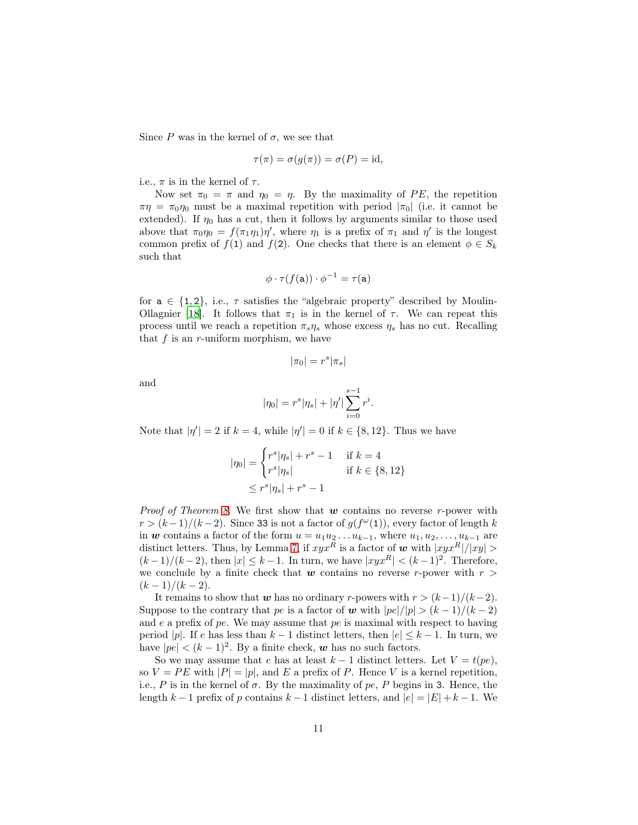Since P was in the kernel of  $\sigma$ , we see that

$$
\tau(\pi) = \sigma(g(\pi)) = \sigma(P) = \mathrm{id},
$$

i.e.,  $\pi$  is in the kernel of  $\tau$ .

Now set  $\pi_0 = \pi$  and  $\eta_0 = \eta$ . By the maximality of PE, the repetition  $\pi\eta = \pi_0\eta_0$  must be a maximal repetition with period  $|\pi_0|$  (i.e. it cannot be extended). If  $\eta_0$  has a cut, then it follows by arguments similar to those used above that  $\pi_0 \eta_0 = f(\pi_1 \eta_1) \eta'$ , where  $\eta_1$  is a prefix of  $\pi_1$  and  $\eta'$  is the longest common prefix of  $f(1)$  and  $f(2)$ . One checks that there is an element  $\phi \in S_k$ such that

$$
\phi \cdot \tau(f(\mathbf{a})) \cdot \phi^{-1} = \tau(\mathbf{a})
$$

for  $a \in \{1, 2\}$ , i.e.,  $\tau$  satisfies the "algebraic property" described by Moulin-Ollagnier [\[18](#page-13-5)]. It follows that  $\pi_1$  is in the kernel of  $\tau$ . We can repeat this process until we reach a repetition  $\pi_s \eta_s$  whose excess  $\eta_s$  has no cut. Recalling that  $f$  is an  $r$ -uniform morphism, we have

$$
|\pi_0|=r^s|\pi_s|
$$

and

$$
|\eta_0|=r^s|\eta_s|+|\eta'|\sum_{i=0}^{s-1}r^i.
$$

Note that  $|\eta'| = 2$  if  $k = 4$ , while  $|\eta'| = 0$  if  $k \in \{8, 12\}$ . Thus we have

$$
|\eta_0| = \begin{cases} r^s |\eta_s| + r^s - 1 & \text{if } k = 4\\ r^s |\eta_s| & \text{if } k \in \{8, 12\} \end{cases}
$$
  

$$
\leq r^s |\eta_s| + r^s - 1
$$

*Proof of Theorem [8.](#page-9-0)* We first show that  $w$  contains no reverse r-power with  $r > (k-1)/(k-2)$ . Since 33 is not a factor of  $g(f^{\omega}(1))$ , every factor of length k in w contains a factor of the form  $u = u_1u_2 \ldots u_{k-1}$ , where  $u_1, u_2, \ldots, u_{k-1}$  are distinct letters. Thus, by Lemma [7,](#page-8-0) if  $xyx^R$  is a factor of w with  $|xyx^R|/|xy| >$  $(k-1)/(k-2)$ , then  $|x| \leq k-1$ . In turn, we have  $|xyx^R| < (k-1)^2$ . Therefore, we conclude by a finite check that  $w$  contains no reverse r-power with  $r >$  $(k-1)/(k-2)$ .

It remains to show that w has no ordinary r-powers with  $r > (k-1)/(k-2)$ . Suppose to the contrary that pe is a factor of w with  $|pe|/|p| > (k-1)/(k-2)$ and  $e$  a prefix of pe. We may assume that pe is maximal with respect to having period |p|. If e has less than  $k-1$  distinct letters, then  $|e| \leq k-1$ . In turn, we have  $|pe| < (k-1)^2$ . By a finite check, w has no such factors.

So we may assume that e has at least  $k - 1$  distinct letters. Let  $V = t(pe)$ , so  $V = PE$  with  $|P| = |p|$ , and E a prefix of P. Hence V is a kernel repetition, i.e., P is in the kernel of  $\sigma$ . By the maximality of pe, P begins in 3. Hence, the length  $k-1$  prefix of p contains  $k-1$  distinct letters, and  $|e| = |E| + k - 1$ . We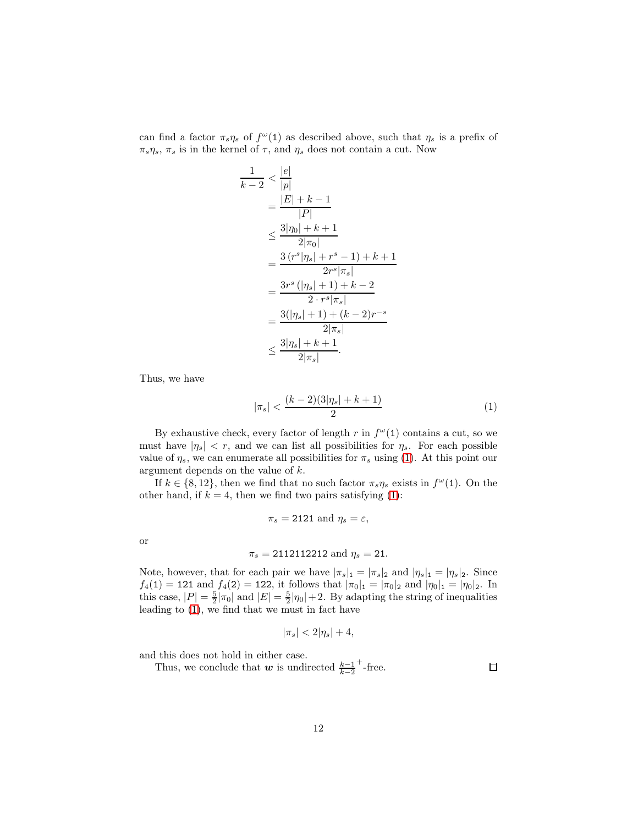can find a factor  $\pi_s \eta_s$  of  $f^{\omega}(1)$  as described above, such that  $\eta_s$  is a prefix of  $\pi_s \eta_s$ ,  $\pi_s$  is in the kernel of  $\tau$ , and  $\eta_s$  does not contain a cut. Now

 $\overline{k}$ 

$$
\frac{1}{-2} < \frac{|e|}{|p|} \\
= \frac{|E| + k - 1}{|P|} \\
\leq \frac{3|\eta_0| + k + 1}{2|\pi_0|} \\
= \frac{3\left(r^s|\eta_s| + r^s - 1\right) + k + 1}{2r^s|\pi_s|} \\
= \frac{3r^s\left(|\eta_s| + 1\right) + k - 2}{2 \cdot r^s |\pi_s|} \\
= \frac{3(|\eta_s| + 1) + (k - 2)r^{-s}}{2|\pi_s|} \\
\leq \frac{3|\eta_s| + k + 1}{2|\pi_s|}.
$$

Thus, we have

<span id="page-11-0"></span>
$$
|\pi_s| < \frac{(k-2)(3|\eta_s| + k + 1)}{2} \tag{1}
$$

By exhaustive check, every factor of length r in  $f^{\omega}(1)$  contains a cut, so we must have  $|\eta_s| < r$ , and we can list all possibilities for  $\eta_s$ . For each possible value of  $\eta_s$ , we can enumerate all possibilities for  $\pi_s$  using [\(1\)](#page-11-0). At this point our argument depends on the value of k.

If  $k \in \{8, 12\}$ , then we find that no such factor  $\pi_s \eta_s$  exists in  $f^{\omega}(1)$ . On the other hand, if  $k = 4$ , then we find two pairs satisfying [\(1\)](#page-11-0):

$$
\pi_s = 2121 \text{ and } \eta_s = \varepsilon,
$$

or

$$
\pi_s = 2112112212 \text{ and } \eta_s = 21.
$$

Note, however, that for each pair we have  $|\pi_s|_1 = |\pi_s|_2$  and  $|\eta_s|_1 = |\eta_s|_2$ . Since  $f_4(1) = 121$  and  $f_4(2) = 122$ , it follows that  $|\pi_0|_1 = |\pi_0|_2$  and  $|\eta_0|_1 = |\eta_0|_2$ . In this case,  $|P| = \frac{5}{2} |\pi_0|$  and  $|E| = \frac{5}{2} |\eta_0| + 2$ . By adapting the string of inequalities leading to  $(1)$ , we find that we must in fact have

$$
|\pi_s| < 2|\eta_s| + 4,
$$

and this does not hold in either case.

Thus, we conclude that w is undirected  $\frac{k-1}{k-2}$  $+$ -free.

 $\Box$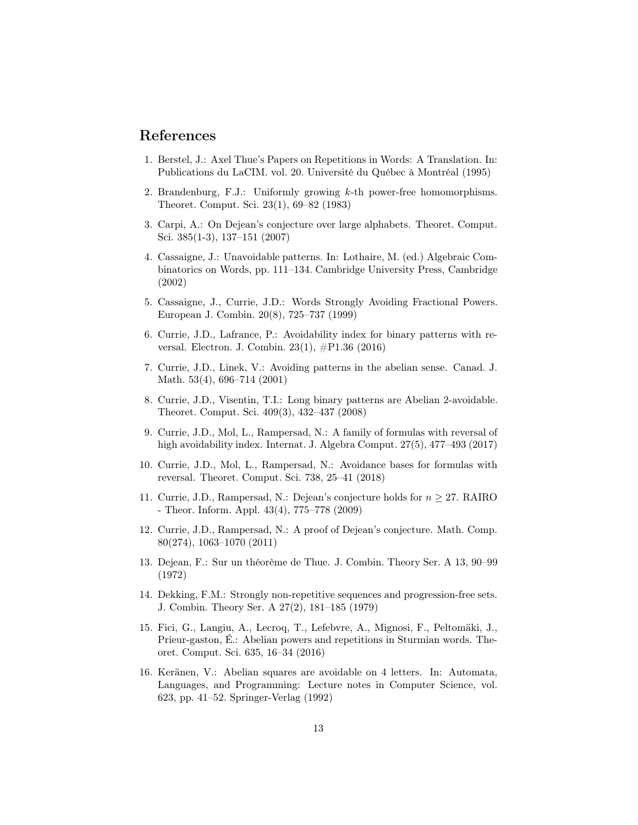## References

- <span id="page-12-2"></span>1. Berstel, J.: Axel Thue's Papers on Repetitions in Words: A Translation. In: Publications du LaCIM. vol. 20. Université du Québec à Montréal (1995)
- <span id="page-12-14"></span>2. Brandenburg, F.J.: Uniformly growing  $k$ -th power-free homomorphisms. Theoret. Comput. Sci. 23(1), 69–82 (1983)
- <span id="page-12-4"></span>3. Carpi, A.: On Dejean's conjecture over large alphabets. Theoret. Comput. Sci. 385(1-3), 137–151 (2007)
- <span id="page-12-7"></span>4. Cassaigne, J.: Unavoidable patterns. In: Lothaire, M. (ed.) Algebraic Combinatorics on Words, pp. 111–134. Cambridge University Press, Cambridge (2002)
- <span id="page-12-0"></span>5. Cassaigne, J., Currie, J.D.: Words Strongly Avoiding Fractional Powers. European J. Combin. 20(8), 725–737 (1999)
- <span id="page-12-11"></span>6. Currie, J.D., Lafrance, P.: Avoidability index for binary patterns with reversal. Electron. J. Combin. 23(1), #P1.36 (2016)
- <span id="page-12-8"></span>7. Currie, J.D., Linek, V.: Avoiding patterns in the abelian sense. Canad. J. Math. 53(4), 696–714 (2001)
- <span id="page-12-9"></span>8. Currie, J.D., Visentin, T.I.: Long binary patterns are Abelian 2-avoidable. Theoret. Comput. Sci. 409(3), 432–437 (2008)
- <span id="page-12-12"></span>9. Currie, J.D., Mol, L., Rampersad, N.: A family of formulas with reversal of high avoidability index. Internat. J. Algebra Comput. 27(5), 477-493 (2017)
- <span id="page-12-13"></span>10. Currie, J.D., Mol, L., Rampersad, N.: Avoidance bases for formulas with reversal. Theoret. Comput. Sci. 738, 25–41 (2018)
- <span id="page-12-5"></span>11. Currie, J.D., Rampersad, N.: Dejean's conjecture holds for  $n \geq 27$ . RAIRO - Theor. Inform. Appl. 43(4), 775–778 (2009)
- <span id="page-12-15"></span>12. Currie, J.D., Rampersad, N.: A proof of Dejean's conjecture. Math. Comp. 80(274), 1063–1070 (2011)
- <span id="page-12-3"></span>13. Dejean, F.: Sur un théorème de Thue. J. Combin. Theory Ser. A 13, 90–99 (1972)
- <span id="page-12-10"></span>14. Dekking, F.M.: Strongly non-repetitive sequences and progression-free sets. J. Combin. Theory Ser. A 27(2), 181–185 (1979)
- <span id="page-12-1"></span>15. Fici, G., Langiu, A., Lecroq, T., Lefebvre, A., Mignosi, F., Peltomäki, J., Prieur-gaston, É.: Abelian powers and repetitions in Sturmian words. Theoret. Comput. Sci. 635, 16–34 (2016)
- <span id="page-12-6"></span>16. Keränen, V.: Abelian squares are avoidable on 4 letters. In: Automata, Languages, and Programming: Lecture notes in Computer Science, vol. 623, pp. 41–52. Springer-Verlag (1992)